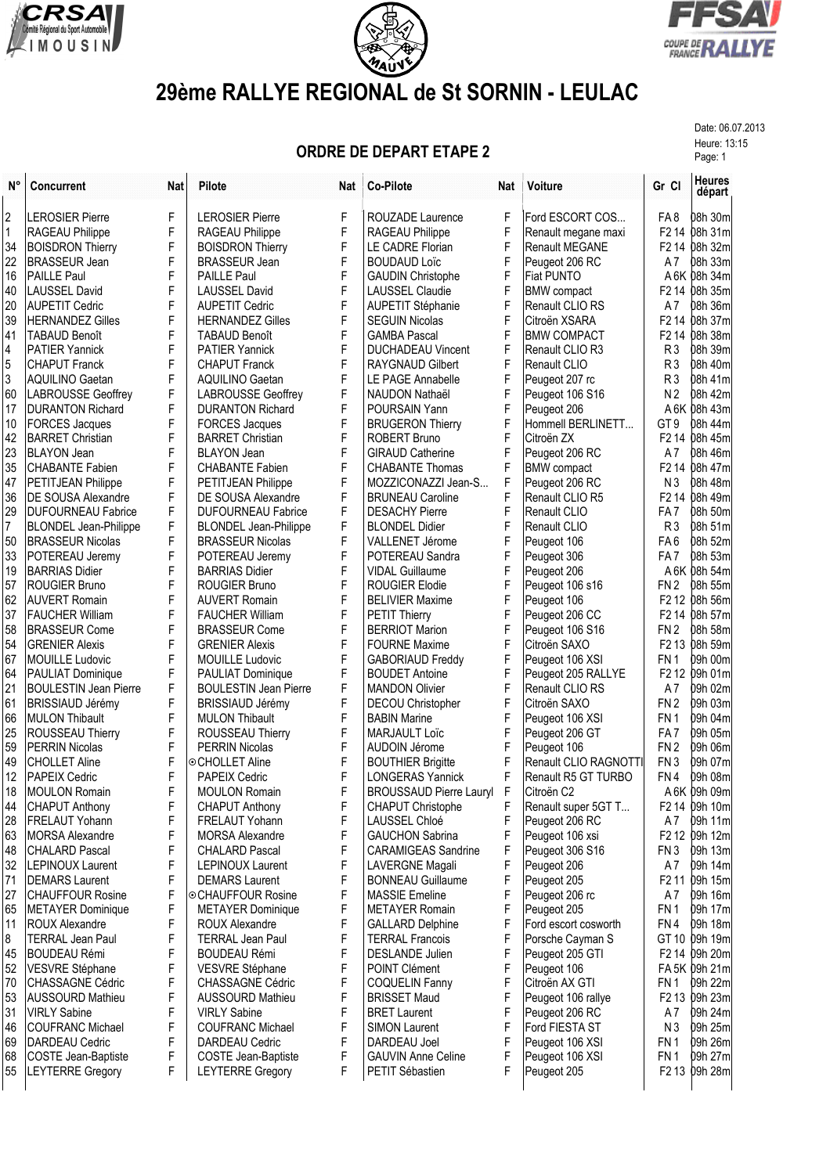





## **29ème RALLYE REGIONAL de St SORNIN - LEULAC**

Date: 06.07.2013

## **ORDRE DE DEPART ETAPE 2** Page: 13:15

| $N^{\circ}$    | <b>Concurrent</b>            | <b>Nat</b> | Pilote                       | Nat | <b>Co-Pilote</b>               | Nat | Voiture                | Gr Cl                         | <b>Heures</b><br>départ   |
|----------------|------------------------------|------------|------------------------------|-----|--------------------------------|-----|------------------------|-------------------------------|---------------------------|
| $\overline{2}$ | <b>LEROSIER Pierre</b>       | F          | <b>LEROSIER Pierre</b>       | F   | <b>ROUZADE Laurence</b>        | F   | Ford ESCORT COS        | FA 8                          | 08h 30m                   |
| $\vert$ 1      | RAGEAU Philippe              | F          | RAGEAU Philippe              | F   | RAGEAU Philippe                | F   | Renault megane maxi    |                               | F2 14 08h 31m             |
| 34             | <b>BOISDRON Thierry</b>      | F          | <b>BOISDRON Thierry</b>      | F   | <b>LE CADRE Florian</b>        | F   | <b>Renault MEGANE</b>  |                               | F2 14 08h 32m             |
| 22             | <b>BRASSEUR Jean</b>         | F          | <b>BRASSEUR Jean</b>         | F   | <b>BOUDAUD Loïc</b>            | F   | Peugeot 206 RC         | A7                            | <b>08h 33m</b>            |
| 16             | <b>PAILLE Paul</b>           | F          | <b>PAILLE Paul</b>           | F   | <b>GAUDIN Christophe</b>       | F   | <b>Fiat PUNTO</b>      |                               | A 6K 08h 34m              |
| 40             | <b>LAUSSEL David</b>         | F          | <b>LAUSSEL David</b>         | F   | <b>LAUSSEL Claudie</b>         | F   | <b>BMW</b> compact     |                               | F2 14 08h 35m             |
| 20             | <b>AUPETIT Cedric</b>        | F          | <b>AUPETIT Cedric</b>        | F   | <b>AUPETIT Stéphanie</b>       | F   | Renault CLIO RS        | Α7                            | 08h 36m                   |
| 39             | <b>HERNANDEZ Gilles</b>      | F          | <b>HERNANDEZ Gilles</b>      | F   | <b>SEGUIN Nicolas</b>          | F   | Citroën XSARA          |                               | F2 14 08h 37m             |
| 41             | <b>TABAUD Benoît</b>         | F          | <b>TABAUD Benoît</b>         | F   | <b>GAMBA Pascal</b>            | F   | <b>BMW COMPACT</b>     |                               | F2 14 08h 38m             |
| $\vert$ 4      | <b>PATIER Yannick</b>        | F          | <b>PATIER Yannick</b>        | F   | <b>DUCHADEAU Vincent</b>       | F   | Renault CLIO R3        | R <sub>3</sub>                | 08h 39m                   |
| $\overline{5}$ | <b>CHAPUT Franck</b>         | F          | <b>CHAPUT Franck</b>         | F   | <b>RAYGNAUD Gilbert</b>        | F   | <b>Renault CLIO</b>    | R <sub>3</sub>                | 08h 40m                   |
| 3              | <b>AQUILINO Gaetan</b>       | F          | <b>AQUILINO Gaetan</b>       | F   | LE PAGE Annabelle              | F   | Peugeot 207 rc         | R <sub>3</sub>                | 08h 41m                   |
| 60             | <b>LABROUSSE Geoffrey</b>    | F          | <b>LABROUSSE Geoffrey</b>    | F   | NAUDON Nathaël                 | F   | Peugeot 106 S16        | N2                            | 08h 42m                   |
| 17             | <b>DURANTON Richard</b>      | F          | <b>DURANTON Richard</b>      | F   | POURSAIN Yann                  | F   | Peugeot 206            |                               | A 6K 08h 43m              |
| 10             | <b>FORCES Jacques</b>        | F          | <b>FORCES Jacques</b>        | F   | <b>BRUGERON Thierry</b>        | F   | Hommell BERLINETT      | GT <sub>9</sub>               | 08h 44m                   |
| 42             | <b>BARRET Christian</b>      | F          | <b>BARRET Christian</b>      | F   | <b>ROBERT Bruno</b>            | F   | Citroën ZX             |                               | F2 14 08h 45m             |
| 23             | <b>BLAYON Jean</b>           | F          | <b>BLAYON Jean</b>           | F   | <b>GIRAUD Catherine</b>        | F   | Peugeot 206 RC         | Α7                            | 08h 46m                   |
| 35             | <b>CHABANTE Fabien</b>       | F          | <b>CHABANTE Fabien</b>       | F   | <b>CHABANTE Thomas</b>         | F   | <b>BMW</b> compact     |                               | F2 14 08h 47m             |
| 47             | PETITJEAN Philippe           | F          | PETITJEAN Philippe           | F   | MOZZICONAZZI Jean-S            | F   | Peugeot 206 RC         | N <sub>3</sub>                | 08h 48m                   |
| 36             | DE SOUSA Alexandre           | F          | DE SOUSA Alexandre           | F   | <b>BRUNEAU Caroline</b>        | F   | Renault CLIO R5        |                               | F2 14 08h 49m             |
| 29             | <b>DUFOURNEAU Fabrice</b>    | F          | <b>DUFOURNEAU Fabrice</b>    | F   | <b>DESACHY Pierre</b>          | F   | Renault CLIO           | FA 7                          | 08h 50m                   |
| $\overline{7}$ | <b>BLONDEL Jean-Philippe</b> | F          | <b>BLONDEL Jean-Philippe</b> | F   | <b>BLONDEL Didier</b>          | F   | Renault CLIO           | R <sub>3</sub>                | 08h 51m                   |
| 50             | <b>BRASSEUR Nicolas</b>      | F          | <b>BRASSEUR Nicolas</b>      | F   | VALLENET Jérome                | F   | Peugeot 106            | FA <sub>6</sub>               | 08h 52m                   |
| 33             | POTEREAU Jeremy              | F          | POTEREAU Jeremy              | F   | POTEREAU Sandra                | F   | Peugeot 306            | FA <sub>7</sub>               | <b>08h 53m</b>            |
| 19             | <b>BARRIAS Didier</b>        | F          | <b>BARRIAS Didier</b>        | F   | <b>VIDAL Guillaume</b>         | F   | Peugeot 206            |                               | A 6K 08h 54m              |
| 57             | <b>ROUGIER Bruno</b>         | F          | <b>ROUGIER Bruno</b>         | F   | <b>ROUGIER Elodie</b>          | F   | Peugeot 106 s16        | FN <sub>2</sub>               | 08h 55m                   |
| 62             | <b>AUVERT Romain</b>         | F          | <b>AUVERT Romain</b>         | F   | <b>BELIVIER Maxime</b>         | F   | Peugeot 106            |                               | F2 12 08h 56m             |
| 37             | <b>FAUCHER William</b>       | F          | <b>FAUCHER William</b>       | F   | PETIT Thierry                  | F   | Peugeot 206 CC         |                               | F2 14 08h 57m             |
| 58             | <b>BRASSEUR Come</b>         | F          | <b>BRASSEUR Come</b>         | F   | <b>BERRIOT Marion</b>          | F   | Peugeot 106 S16        | FN <sub>2</sub>               | <b>b</b> 8h 58m           |
| 54             | <b>GRENIER Alexis</b>        | F          | <b>GRENIER Alexis</b>        | F   | <b>FOURNE Maxime</b>           | F   | Citroën SAXO           |                               | F <sub>2</sub> 13 08h 59m |
| 67             | <b>MOUILLE Ludovic</b>       | F          | <b>MOUILLE Ludovic</b>       | F   | <b>GABORIAUD Freddy</b>        | F   | Peugeot 106 XSI        | FN <sub>1</sub>               | 09h 00m                   |
| 64             | PAULIAT Dominique            | F          | PAULIAT Dominique            | F   | <b>BOUDET Antoine</b>          | F   | Peugeot 205 RALLYE     | F <sub>2</sub> 1 <sub>2</sub> | 09h 01m                   |
| 21             | <b>BOULESTIN Jean Pierre</b> | F          | <b>BOULESTIN Jean Pierre</b> | F   | <b>MANDON Olivier</b>          | F   | Renault CLIO RS        | A7                            | 09h 02m                   |
| 61             | <b>BRISSIAUD Jérémy</b>      | F          | <b>BRISSIAUD Jérémy</b>      | F   | <b>DECOU Christopher</b>       | F   | Citroën SAXO           | FN <sub>2</sub>               | 09h 03m                   |
| 66             | <b>MULON Thibault</b>        | F          | <b>MULON Thibault</b>        | F   | <b>BABIN Marine</b>            | F   | Peugeot 106 XSI        | FN <sub>1</sub>               | 09h 04m                   |
| 25             | ROUSSEAU Thierry             | F          | ROUSSEAU Thierry             | F   | <b>MARJAULT Loïc</b>           | F   | Peugeot 206 GT         | FA 7                          | 09h 05m                   |
| 59             | <b>PERRIN Nicolas</b>        | F          | <b>PERRIN Nicolas</b>        | F   | <b>AUDOIN Jérome</b>           | F   | Peugeot 106            | FN <sub>2</sub>               | <b>b</b> 9h 06m           |
| 49             | <b>CHOLLET Aline</b>         | F          | ⊙CHOLLET Aline               | F   | <b>BOUTHIER Brigitte</b>       | F   | Renault CLIO RAGNOTT   | FN <sub>3</sub>               | 09h 07m                   |
| 12             | <b>PAPEIX Cedric</b>         | F          | <b>PAPEIX Cedric</b>         | F   | <b>LONGERAS Yannick</b>        | F   | Renault R5 GT TURBO    | FN4                           | 09h 08m                   |
| 18             | <b>MOULON Romain</b>         | F          | <b>MOULON Romain</b>         | F   | <b>BROUSSAUD Pierre Lauryl</b> | F   | Citroën C <sub>2</sub> |                               | A 6K 09h 09m              |
| 44             | <b>CHAPUT Anthony</b>        | F          | <b>CHAPUT Anthony</b>        | F   | CHAPUT Christophe              | F   | Renault super 5GT T    |                               | F <sub>2</sub> 14 09h 10m |
| 28             | <b>FRELAUT Yohann</b>        | F          | FRELAUT Yohann               | F   | LAUSSEL Chloé                  | F   | Peugeot 206 RC         | A7                            | 09h 11m                   |
| 63             | <b>MORSA Alexandre</b>       | F          | <b>MORSA Alexandre</b>       | F   | <b>GAUCHON Sabrina</b>         | F   | Peugeot 106 xsi        |                               | F2 12 09h 12m             |
| 48             | <b>CHALARD Pascal</b>        | F          | <b>CHALARD Pascal</b>        | F   | <b>CARAMIGEAS Sandrine</b>     | F   | Peugeot 306 S16        | FN <sub>3</sub>               | 09h 13m                   |
| 32             | <b>LEPINOUX Laurent</b>      | F          | <b>LEPINOUX Laurent</b>      | F   | LAVERGNE Magali                | F   | Peugeot 206            | A7                            | 09h 14m                   |
| 71             | <b>DEMARS Laurent</b>        | F          | <b>DEMARS Laurent</b>        | F   | <b>BONNEAU Guillaume</b>       | F   | Peugeot 205            |                               | F <sub>2</sub> 11 09h 15m |
| 27             | <b>CHAUFFOUR Rosine</b>      | F          | © CHAUFFOUR Rosine           | F   | <b>MASSIE Emeline</b>          | F   | Peugeot 206 rc         | A7                            | 09h 16m                   |
| 65             | <b>METAYER Dominique</b>     | F          | <b>METAYER Dominique</b>     | F   | <b>METAYER Romain</b>          | F   | Peugeot 205            | FN <sub>1</sub>               | 09h 17m                   |
| 11             | <b>ROUX Alexandre</b>        | F          | <b>ROUX Alexandre</b>        | F   | <b>GALLARD Delphine</b>        | F   | Ford escort cosworth   | FN4                           | 09h 18m                   |
| 8              | <b>TERRAL Jean Paul</b>      | F          | <b>TERRAL Jean Paul</b>      | F   | <b>TERRAL Francois</b>         | F   | Porsche Cayman S       |                               | GT 10 09h 19m             |
| 45             | <b>BOUDEAU Rémi</b>          | F          | <b>BOUDEAU Rémi</b>          | F   | DESLANDE Julien                | F   | Peugeot 205 GTI        |                               | F2 14 09h 20m             |
| 52             | VESVRE Stéphane              | F          | VESVRE Stéphane              | F   | POINT Clément                  | F   | Peugeot 106            |                               | FA 5K 09h 21m             |
| 70             | CHASSAGNE Cédric             | F          | CHASSAGNE Cédric             | F   | <b>COQUELIN Fanny</b>          | F   | Citroën AX GTI         | FN 1                          | 09h 22m                   |
| 53             | <b>AUSSOURD Mathieu</b>      | F          | <b>AUSSOURD Mathieu</b>      | F   | <b>BRISSET Maud</b>            | F   | Peugeot 106 rallye     |                               | F2 13 09h 23m             |
| 31             | <b>VIRLY Sabine</b>          | F          | <b>VIRLY Sabine</b>          | F   | <b>BRET Laurent</b>            | F   | Peugeot 206 RC         | A7                            | 09h 24m                   |
| 46             | <b>COUFRANC Michael</b>      | F          | <b>COUFRANC Michael</b>      | F   | <b>SIMON Laurent</b>           | F   | Ford FIESTA ST         | N <sub>3</sub>                | 09h 25m                   |
| 69             | DARDEAU Cedric               | F          | DARDEAU Cedric               | F   | DARDEAU Joel                   | F   | Peugeot 106 XSI        | FN <sub>1</sub>               | 09h 26m                   |
| 68             | <b>COSTE Jean-Baptiste</b>   | F          | COSTE Jean-Baptiste          | F   | <b>GAUVIN Anne Celine</b>      | F   | Peugeot 106 XSI        | FN <sub>1</sub>               | 09h 27m                   |
| 55             | <b>LEYTERRE Gregory</b>      | F          | <b>LEYTERRE Gregory</b>      | F   | PETIT Sébastien                | F   | Peugeot 205            |                               | F2 13 09h 28m             |
|                |                              |            |                              |     |                                |     |                        |                               |                           |